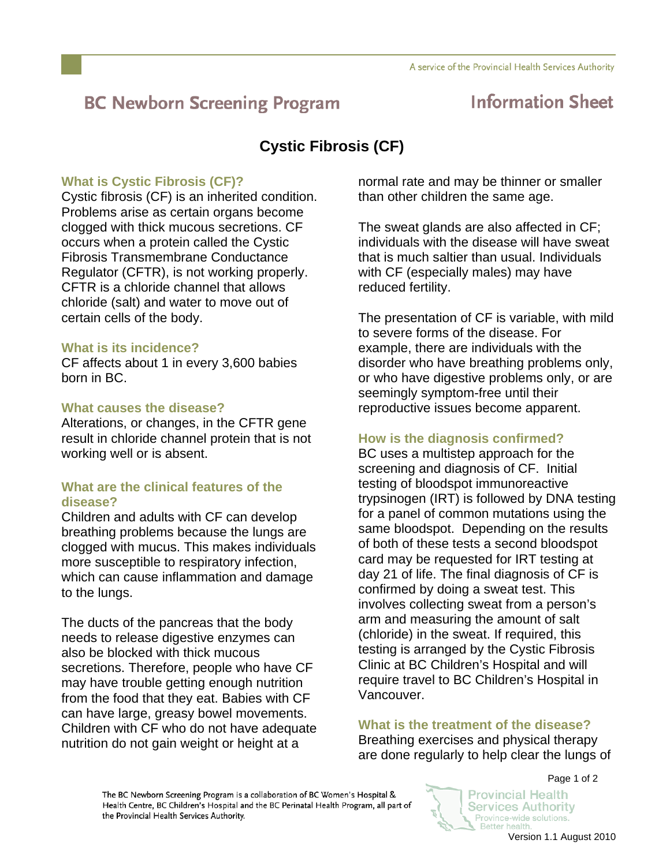# **BC Newborn Screening Program**

# **Information Sheet**

# **Cystic Fibrosis (CF)**

# **What is Cystic Fibrosis (CF)?**

Cystic fibrosis (CF) is an inherited condition. Problems arise as certain organs become clogged with thick mucous secretions. CF occurs when a protein called the Cystic Fibrosis Transmembrane Conductance Regulator (CFTR), is not working properly. CFTR is a chloride channel that allows chloride (salt) and water to move out of certain cells of the body.

### **What is its incidence?**

CF affects about 1 in every 3,600 babies born in BC.

### **What causes the disease?**

Alterations, or changes, in the CFTR gene result in chloride channel protein that is not working well or is absent.

## **What are the clinical features of the disease?**

Children and adults with CF can develop breathing problems because the lungs are clogged with mucus. This makes individuals more susceptible to respiratory infection, which can cause inflammation and damage to the lungs.

The ducts of the pancreas that the body needs to release digestive enzymes can also be blocked with thick mucous secretions. Therefore, people who have CF may have trouble getting enough nutrition from the food that they eat. Babies with CF can have large, greasy bowel movements. Children with CF who do not have adequate nutrition do not gain weight or height at a

normal rate and may be thinner or smaller than other children the same age.

The sweat glands are also affected in CF; individuals with the disease will have sweat that is much saltier than usual. Individuals with CF (especially males) may have reduced fertility.

The presentation of CF is variable, with mild to severe forms of the disease. For example, there are individuals with the disorder who have breathing problems only, or who have digestive problems only, or are seemingly symptom-free until their reproductive issues become apparent.

# **How is the diagnosis confirmed?**

BC uses a multistep approach for the screening and diagnosis of CF. Initial testing of bloodspot immunoreactive trypsinogen (IRT) is followed by DNA testing for a panel of common mutations using the same bloodspot. Depending on the results of both of these tests a second bloodspot card may be requested for IRT testing at day 21 of life. The final diagnosis of CF is confirmed by doing a sweat test. This involves collecting sweat from a person's arm and measuring the amount of salt (chloride) in the sweat. If required, this testing is arranged by the Cystic Fibrosis Clinic at BC Children's Hospital and will require travel to BC Children's Hospital in Vancouver.

## **What is the treatment of the disease?**

Breathing exercises and physical therapy are done regularly to help clear the lungs of

The BC Newborn Screening Program is a collaboration of BC Women's Hospital & Health Centre, BC Children's Hospital and the BC Perinatal Health Program, all part of the Provincial Health Services Authority.

Page 1 of 2 Provincial Health

**Services Authority** 

Province-wide solutions. Better health.